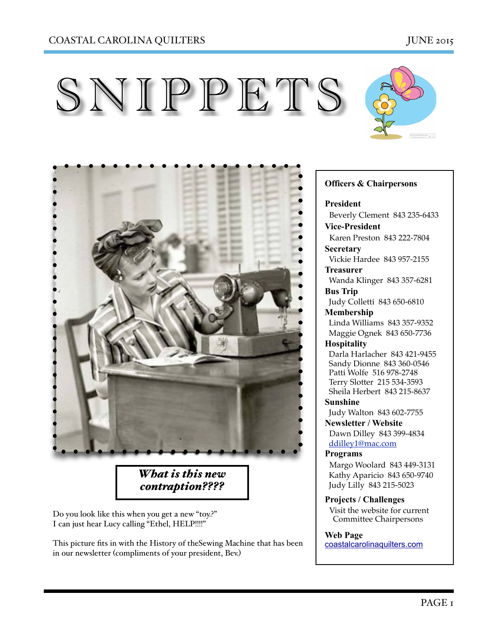





*What is this new contraption????*

Do you look like this when you get a new "toy.?" I can just hear Lucy calling "Ethel, HELP!!!!"

This picture fits in with the History of theSewing Machine that has been in our newsletter (compliments of your president, Bev.)

#### **Officers & Chairpersons**

**President**

 Beverly Clement 843 235-6433 **Vice-President** 

Karen Preston 843 222-7804

**Secretary** Vickie Hardee 843 957-2155

**Treasurer** 

 Wanda Klinger 843 357-6281 **Bus Trip** 

Judy Colletti 843 650-6810

**Membership** 

 Linda Williams 843 357-9352 Maggie Ognek 843 650-7736

### **Hospitality**

 Darla Harlacher 843 421-9455 Sandy Dionne 843 360-0546 Patti Wolfe 516 978-2748 Terry Slotter 215 534-3593 Sheila Herbert 843 215-8637

**Sunshine**  Judy Walton 843 602-7755

**Newsletter / Website** Dawn Dilley 843 399-4834 [ddilley1@mac.com](mailto:ddilley1@mac.com)

#### **Programs**

Margo Woolard 843 449-3131 Kathy Aparicio 843 650-9740 Judy Lilly 843 215-5023

**Projects / Challenges**  Visit the website for current Committee Chairpersons

**Web Page** 

[coastalcarolinaquilters.com](http://coastalcarolinaquilters.com)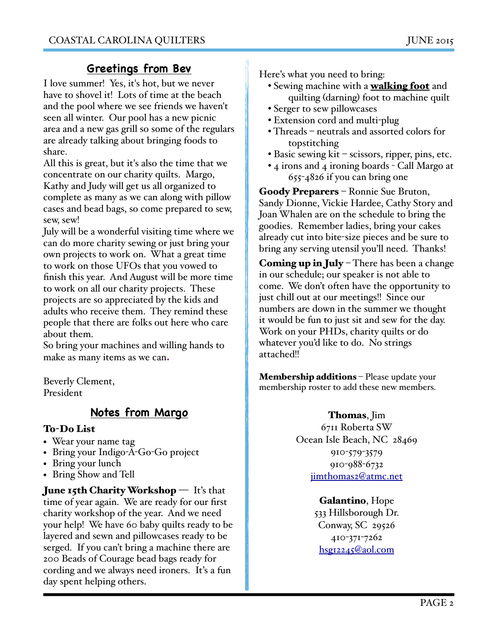# **Greetings from Bev**

I love summer! Yes, it's hot, but we never have to shovel it! Lots of time at the beach and the pool where we see friends we haven't seen all winter. Our pool has a new picnic area and a new gas grill so some of the regulars are already talking about bringing foods to share.

All this is great, but it's also the time that we concentrate on our charity quilts. Margo, Kathy and Judy will get us all organized to complete as many as we can along with pillow cases and bead bags, so come prepared to sew, sew, sew!

July will be a wonderful visiting time where we can do more charity sewing or just bring your own projects to work on. What a great time to work on those UFOs that you vowed to finish this year. And August will be more time to work on all our charity projects. These projects are so appreciated by the kids and adults who receive them. They remind these people that there are folks out here who care about them.

So bring your machines and willing hands to make as many items as we can**.**

Beverly Clement, President

# **Notes from Margo**

### To-Do List

- Wear your name tag
- Bring your Indigo-A-Go-Go project
- Bring your lunch
- Bring Show and Tell

**June 15th Charity Workshop** — It's that time of year again. We are ready for our first charity workshop of the year. And we need your help! We have 60 baby quilts ready to be layered and sewn and pillowcases ready to be serged. If you can't bring a machine there are 200 Beads of Courage bead bags ready for cording and we always need ironers. It's a fun day spent helping others.

Here's what you need to bring:

- Sewing machine with a **walking foot** and quilting (darning) foot to machine quilt
- Serger to sew pillowcases
- Extension cord and multi-plug
- Threads neutrals and assorted colors for topstitching
- Basic sewing kit scissors, ripper, pins, etc.
- 4 irons and 4 ironing boards Call Margo at 655-4826 if you can bring one

Goody Preparers – Ronnie Sue Bruton, Sandy Dionne, Vickie Hardee, Cathy Story and Joan Whalen are on the schedule to bring the goodies. Remember ladies, bring your cakes already cut into bite-size pieces and be sure to bring any serving utensil you'll need. Thanks!

**Coming up in July** – There has been a change in our schedule; our speaker is not able to come. We don't often have the opportunity to just chill out at our meetings!! Since our numbers are down in the summer we thought it would be fun to just sit and sew for the day. Work on your PHDs, charity quilts or do whatever you'd like to do. No strings attached!!

Membership additions - Please update your membership roster to add these new members.

> Thomas, Jim 6711 Roberta SW Ocean Isle Beach, NC 28469 910-579-3579 910-988-6732 [jimthomas2@atmc.net](mailto:jimthomas2@atmc.net)

> > Galantino, Hope 533 Hillsborough Dr. Conway, SC 29526 410-371-7262 [hsg12245@aol.com](mailto:hsg12245@aol.com)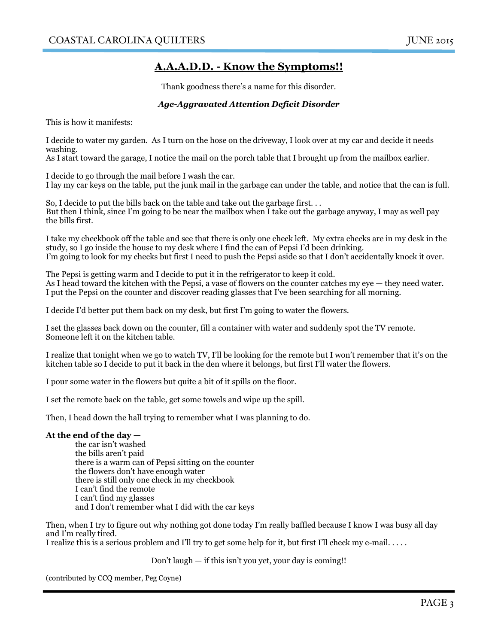## A.**A.A.D.D. - Know the Symptoms!!**

Thank goodness there's a name for this disorder.

#### *Age-Aggravated Attention Deficit Disorder*

This is how it manifests:

I decide to water my garden. As I turn on the hose on the driveway, I look over at my car and decide it needs washing.

As I start toward the garage, I notice the mail on the porch table that I brought up from the mailbox earlier.

I decide to go through the mail before I wash the car. I lay my car keys on the table, put the junk mail in the garbage can under the table, and notice that the can is full.

So, I decide to put the bills back on the table and take out the garbage first. . . But then I think, since I'm going to be near the mailbox when I take out the garbage anyway, I may as well pay the bills first.

I take my checkbook off the table and see that there is only one check left. My extra checks are in my desk in the study, so I go inside the house to my desk where I find the can of Pepsi I'd been drinking. I'm going to look for my checks but first I need to push the Pepsi aside so that I don't accidentally knock it over.

The Pepsi is getting warm and I decide to put it in the refrigerator to keep it cold. As I head toward the kitchen with the Pepsi, a vase of flowers on the counter catches my eye — they need water. I put the Pepsi on the counter and discover reading glasses that I've been searching for all morning.

I decide I'd better put them back on my desk, but first I'm going to water the flowers.

I set the glasses back down on the counter, fill a container with water and suddenly spot the TV remote. Someone left it on the kitchen table.

I realize that tonight when we go to watch TV, I'll be looking for the remote but I won't remember that it's on the kitchen table so I decide to put it back in the den where it belongs, but first I'll water the flowers.

I pour some water in the flowers but quite a bit of it spills on the floor.

I set the remote back on the table, get some towels and wipe up the spill.

Then, I head down the hall trying to remember what I was planning to do.

#### **At the end of the day —**

the car isn't washed the bills aren't paid there is a warm can of Pepsi sitting on the counter the flowers don't have enough water there is still only one check in my checkbook I can't find the remote I can't find my glasses and I don't remember what I did with the car keys

Then, when I try to figure out why nothing got done today I'm really baffled because I know I was busy all day and I'm really tired.

I realize this is a serious problem and I'll try to get some help for it, but first I'll check my e-mail. . . . .

#### Don't laugh — if this isn't you yet, your day is coming!!

(contributed by CCQ member, Peg Coyne)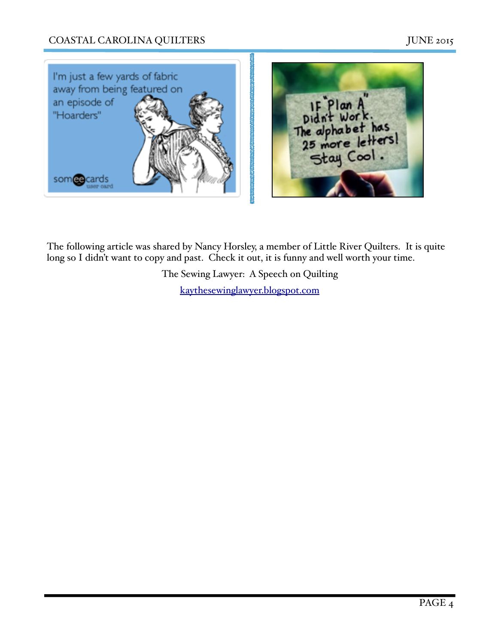# COASTAL CAROLINA QUILTERS JUNE 2015



The following article was shared by Nancy Horsley, a member of Little River Quilters. It is quite long so I didn't want to copy and past. Check it out, it is funny and well worth your time.

> The Sewing Lawyer: A Speech on Quilting [kaythesewinglawyer.blogspot.com](http://kaythesewinglawyer.blogspot.com)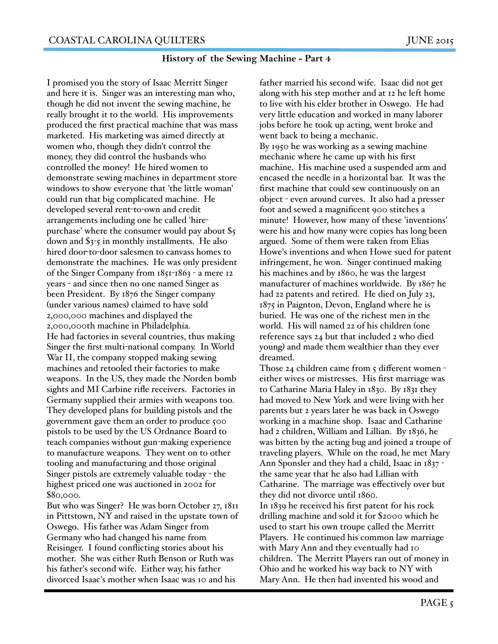#### **History of the Sewing Machine - Part 4**

I promised you the story of Isaac Merritt Singer and here it is. Singer was an interesting man who, though he did not invent the sewing machine, he really brought it to the world. His improvements produced the first practical machine that was mass marketed. His marketing was aimed directly at women who, though they didn't control the money, they did control the husbands who controlled the money! He hired women to demonstrate sewing machines in department store windows to show everyone that 'the little woman' could run that big complicated machine. He developed several rent-to-own and credit arrangements including one he called 'hirepurchase' where the consumer would pay about \$5 down and \$3-5 in monthly installments. He also hired door-to-door salesmen to canvass homes to demonstrate the machines. He was only president of the Singer Company from 1851-1863 - a mere 12 years - and since then no one named Singer as been President. By 1876 the Singer company (under various names) claimed to have sold 2,000,000 machines and displayed the 2,000,000th machine in Philadelphia. He had factories in several countries, thus making Singer the first multi-national company. In World War II, the company stopped making sewing machines and retooled their factories to make weapons. In the US, they made the Norden bomb sights and MI Carbine rifle receivers. Factories in Germany supplied their armies with weapons too. They developed plans for building pistols and the government gave them an order to produce 500 pistols to be used by the US Ordnance Board to teach companies without gun-making experience to manufacture weapons. They went on to other tooling and manufacturing and those original Singer pistols are extremely valuable today - the highest priced one was auctioned in 2002 for \$80,000.

But who was Singer? He was born October 27, 1811 in Pittstown, NY and raised in the upstate town of Oswego. His father was Adam Singer from Germany who had changed his name from Reisinger. I found conflicting stories about his mother. She was either Ruth Benson or Ruth was his father's second wife. Either way, his father divorced Isaac's mother when Isaac was 10 and his

father married his second wife. Isaac did not get along with his step mother and at 12 he left home to live with his elder brother in Oswego. He had very little education and worked in many laborer jobs before he took up acting, went broke and went back to being a mechanic. By 1950 he was working as a sewing machine mechanic where he came up with his first machine. His machine used a suspended arm and encased the needle in a horizontal bar. It was the first machine that could sew continuously on an object - even around curves. It also had a presser foot and sewed a magnificent 900 stitches a minute! However, how many of these 'inventions' were his and how many were copies has long been argued. Some of them were taken from Elias Howe's inventions and when Howe sued for patent infringement, he won. Singer continued making his machines and by 1860, he was the largest manufacturer of machines worldwide. By 1867 he had 22 patents and retired. He died on July 23, 1875 in Paignton, Devon, England where he is buried. He was one of the richest men in the world. His will named 22 of his children (one reference says 24 but that included 2 who died young) and made them wealthier than they ever dreamed.

Those 24 children came from 5 different women either wives or mistresses. His first marriage was to Catharine Maria Haley in 1830. By 1831 they had moved to New York and were living with her parents but 2 years later he was back in Oswego working in a machine shop. Isaac and Catharine had 2 children, William and Lillian. By 1836, he was bitten by the acting bug and joined a troupe of traveling players. While on the road, he met Mary Ann Sponsler and they had a child, Isaac in 1837 the same year that he also had Lillian with Catharine. The marriage was effectively over but they did not divorce until 1860. In 1839 he received his first patent for his rock drilling machine and sold it for \$2000 which he used to start his own troupe called the Merritt Players. He continued his common law marriage with Mary Ann and they eventually had 10 children. The Merritt Players ran out of money in Ohio and he worked his way back to NY with Mary Ann. He then had invented his wood and